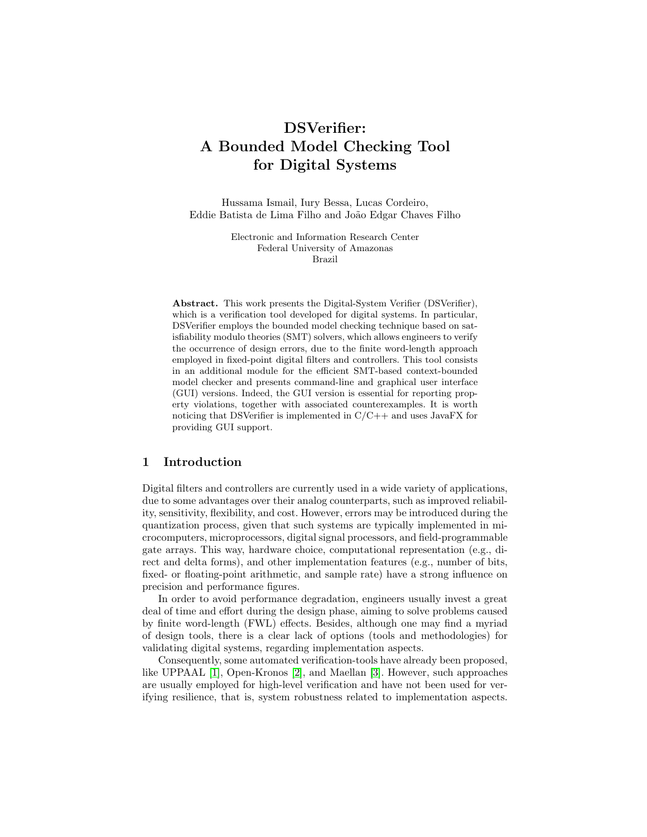# DSVerifier: A Bounded Model Checking Tool for Digital Systems

Hussama Ismail, Iury Bessa, Lucas Cordeiro, Eddie Batista de Lima Filho and João Edgar Chaves Filho

> Electronic and Information Research Center Federal University of Amazonas Brazil

Abstract. This work presents the Digital-System Verifier (DSVerifier), which is a verification tool developed for digital systems. In particular, DSVerifier employs the bounded model checking technique based on satisfiability modulo theories (SMT) solvers, which allows engineers to verify the occurrence of design errors, due to the finite word-length approach employed in fixed-point digital filters and controllers. This tool consists in an additional module for the efficient SMT-based context-bounded model checker and presents command-line and graphical user interface (GUI) versions. Indeed, the GUI version is essential for reporting property violations, together with associated counterexamples. It is worth noticing that DSVerifier is implemented in  $C/C++$  and uses JavaFX for providing GUI support.

#### 1 Introduction

Digital filters and controllers are currently used in a wide variety of applications, due to some advantages over their analog counterparts, such as improved reliability, sensitivity, flexibility, and cost. However, errors may be introduced during the quantization process, given that such systems are typically implemented in microcomputers, microprocessors, digital signal processors, and field-programmable gate arrays. This way, hardware choice, computational representation (e.g., direct and delta forms), and other implementation features (e.g., number of bits, fixed- or floating-point arithmetic, and sample rate) have a strong influence on precision and performance figures.

In order to avoid performance degradation, engineers usually invest a great deal of time and effort during the design phase, aiming to solve problems caused by finite word-length (FWL) effects. Besides, although one may find a myriad of design tools, there is a clear lack of options (tools and methodologies) for validating digital systems, regarding implementation aspects.

Consequently, some automated verification-tools have already been proposed, like UPPAAL [\[1\]](#page-5-0), Open-Kronos [\[2\]](#page-5-1), and Maellan [\[3\]](#page-5-2). However, such approaches are usually employed for high-level verification and have not been used for verifying resilience, that is, system robustness related to implementation aspects.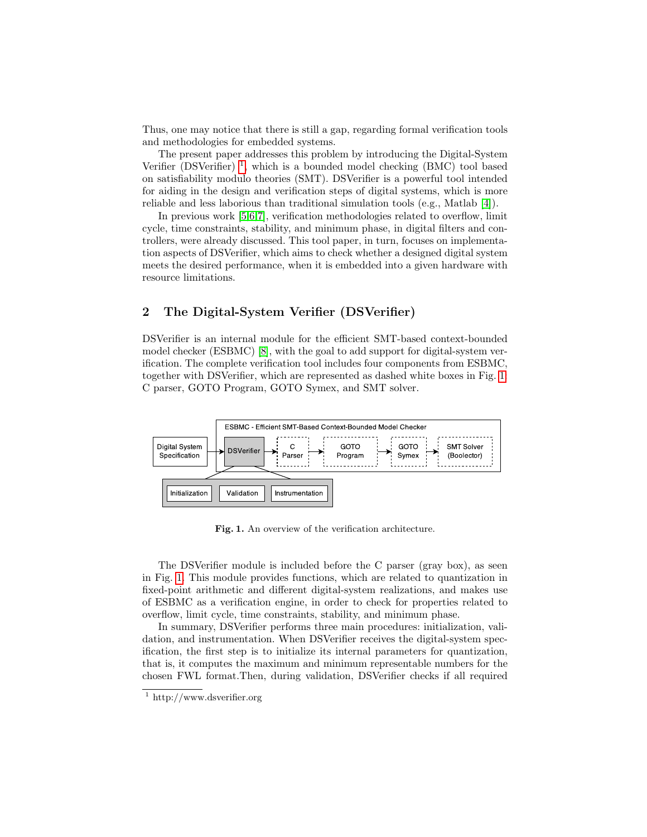Thus, one may notice that there is still a gap, regarding formal verification tools and methodologies for embedded systems.

The present paper addresses this problem by introducing the Digital-System Verifier (DSVerifier)<sup>[1](#page-1-0)</sup>, which is a bounded model checking (BMC) tool based on satisfiability modulo theories (SMT). DSVerifier is a powerful tool intended for aiding in the design and verification steps of digital systems, which is more reliable and less laborious than traditional simulation tools (e.g., Matlab [\[4\]](#page-5-3)).

In previous work [\[5](#page-5-4)[,6,](#page-5-5)[7\]](#page-5-6), verification methodologies related to overflow, limit cycle, time constraints, stability, and minimum phase, in digital filters and controllers, were already discussed. This tool paper, in turn, focuses on implementation aspects of DSVerifier, which aims to check whether a designed digital system meets the desired performance, when it is embedded into a given hardware with resource limitations.

## 2 The Digital-System Verifier (DSVerifier)

DSVerifier is an internal module for the efficient SMT-based context-bounded model checker (ESBMC) [\[8\]](#page-5-7), with the goal to add support for digital-system verification. The complete verification tool includes four components from ESBMC, together with DSVerifier, which are represented as dashed white boxes in Fig. [1:](#page-1-1) C parser, GOTO Program, GOTO Symex, and SMT solver.



<span id="page-1-1"></span>Fig. 1. An overview of the verification architecture.

The DSVerifier module is included before the C parser (gray box), as seen in Fig. [1.](#page-1-1) This module provides functions, which are related to quantization in fixed-point arithmetic and different digital-system realizations, and makes use of ESBMC as a verification engine, in order to check for properties related to overflow, limit cycle, time constraints, stability, and minimum phase.

In summary, DSVerifier performs three main procedures: initialization, validation, and instrumentation. When DSVerifier receives the digital-system specification, the first step is to initialize its internal parameters for quantization, that is, it computes the maximum and minimum representable numbers for the chosen FWL format.Then, during validation, DSVerifier checks if all required

<span id="page-1-0"></span> $\overline{1}$  http://www.dsverifier.org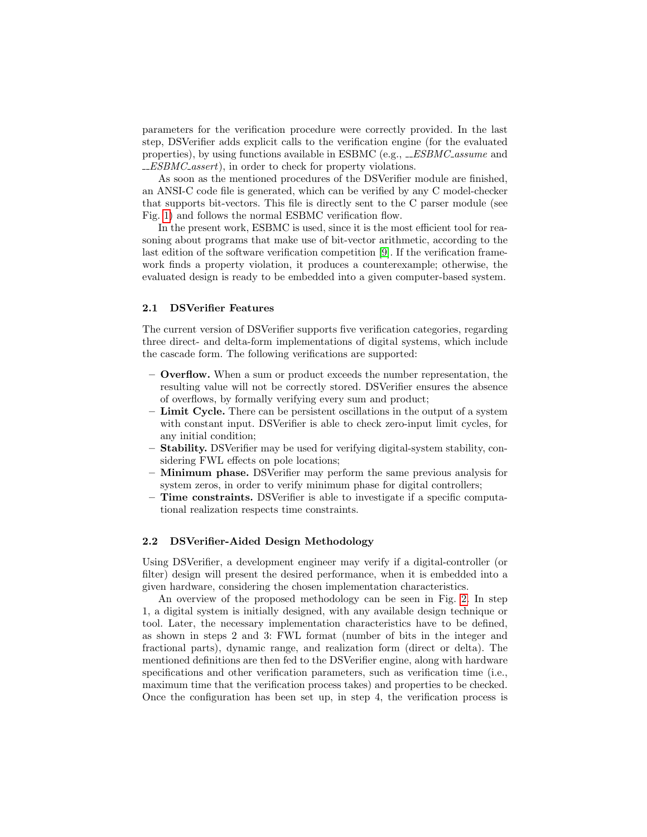parameters for the verification procedure were correctly provided. In the last step, DSVerifier adds explicit calls to the verification engine (for the evaluated properties), by using functions available in ESBMC (e.g.,  $\_ESBMC\_assume$  and ESBMC assert), in order to check for property violations.

As soon as the mentioned procedures of the DSVerifier module are finished, an ANSI-C code file is generated, which can be verified by any C model-checker that supports bit-vectors. This file is directly sent to the C parser module (see Fig. [1\)](#page-1-1) and follows the normal ESBMC verification flow.

In the present work, ESBMC is used, since it is the most efficient tool for reasoning about programs that make use of bit-vector arithmetic, according to the last edition of the software verification competition [\[9\]](#page-5-8). If the verification framework finds a property violation, it produces a counterexample; otherwise, the evaluated design is ready to be embedded into a given computer-based system.

#### 2.1 DSVerifier Features

The current version of DSVerifier supports five verification categories, regarding three direct- and delta-form implementations of digital systems, which include the cascade form. The following verifications are supported:

- Overflow. When a sum or product exceeds the number representation, the resulting value will not be correctly stored. DSVerifier ensures the absence of overflows, by formally verifying every sum and product;
- Limit Cycle. There can be persistent oscillations in the output of a system with constant input. DSVerifier is able to check zero-input limit cycles, for any initial condition;
- Stability. DSVerifier may be used for verifying digital-system stability, considering FWL effects on pole locations;
- Minimum phase. DSVerifier may perform the same previous analysis for system zeros, in order to verify minimum phase for digital controllers;
- Time constraints. DSVerifier is able to investigate if a specific computational realization respects time constraints.

#### 2.2 DSVerifier-Aided Design Methodology

Using DSVerifier, a development engineer may verify if a digital-controller (or filter) design will present the desired performance, when it is embedded into a given hardware, considering the chosen implementation characteristics.

An overview of the proposed methodology can be seen in Fig. [2.](#page-3-0) In step 1, a digital system is initially designed, with any available design technique or tool. Later, the necessary implementation characteristics have to be defined, as shown in steps 2 and 3: FWL format (number of bits in the integer and fractional parts), dynamic range, and realization form (direct or delta). The mentioned definitions are then fed to the DSVerifier engine, along with hardware specifications and other verification parameters, such as verification time (i.e., maximum time that the verification process takes) and properties to be checked. Once the configuration has been set up, in step 4, the verification process is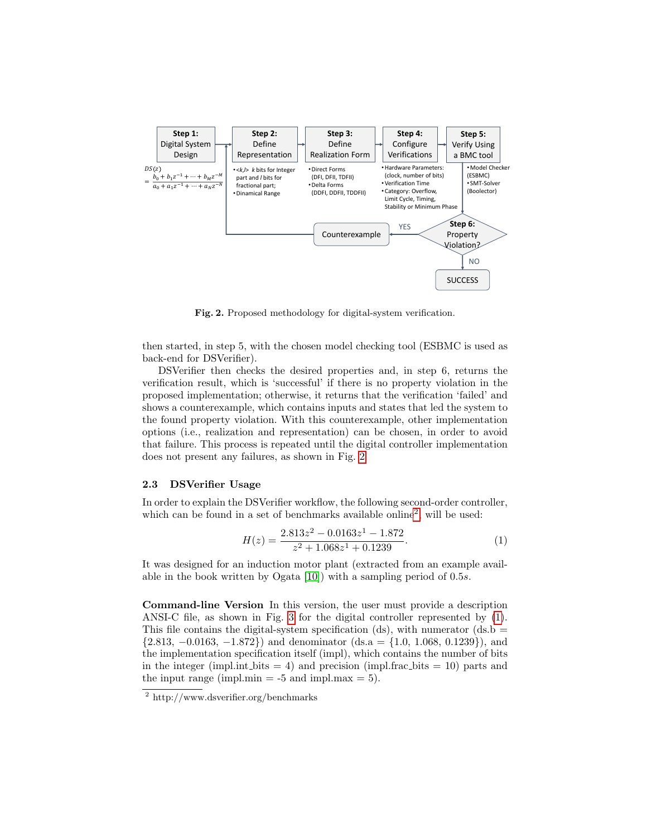

<span id="page-3-0"></span>Fig. 2. Proposed methodology for digital-system verification.

then started, in step 5, with the chosen model checking tool (ESBMC is used as back-end for DSVerifier).

DSVerifier then checks the desired properties and, in step 6, returns the verification result, which is 'successful' if there is no property violation in the proposed implementation; otherwise, it returns that the verification 'failed' and shows a counterexample, which contains inputs and states that led the system to the found property violation. With this counterexample, other implementation options (i.e., realization and representation) can be chosen, in order to avoid that failure. This process is repeated until the digital controller implementation does not present any failures, as shown in Fig. [2.](#page-3-0)

#### 2.3 DSVerifier Usage

In order to explain the DSVerifier workflow, the following second-order controller, which can be found in a set of benchmarks available online<sup>[2](#page-3-1)</sup>, will be used:

<span id="page-3-2"></span>
$$
H(z) = \frac{2.813z^2 - 0.0163z^1 - 1.872}{z^2 + 1.068z^1 + 0.1239}.
$$
 (1)

It was designed for an induction motor plant (extracted from an example available in the book written by Ogata [\[10\]](#page-5-9)) with a sampling period of 0.5s.

Command-line Version In this version, the user must provide a description ANSI-C file, as shown in Fig. [3](#page-4-0) for the digital controller represented by [\(1\)](#page-3-2). This file contains the digital-system specification (ds), with numerator (ds.b  $=$  $\{2.813, -0.0163, -1.872\}\$  and denominator  $(ds.a = \{1.0, 1.068, 0.1239\})$ , and the implementation specification itself (impl), which contains the number of bits in the integer (impl.int bits  $= 4$ ) and precision (impl.frac bits  $= 10$ ) parts and the input range (impl.min  $=$  -5 and impl.max  $=$  5).

<span id="page-3-1"></span><sup>2</sup> http://www.dsverifier.org/benchmarks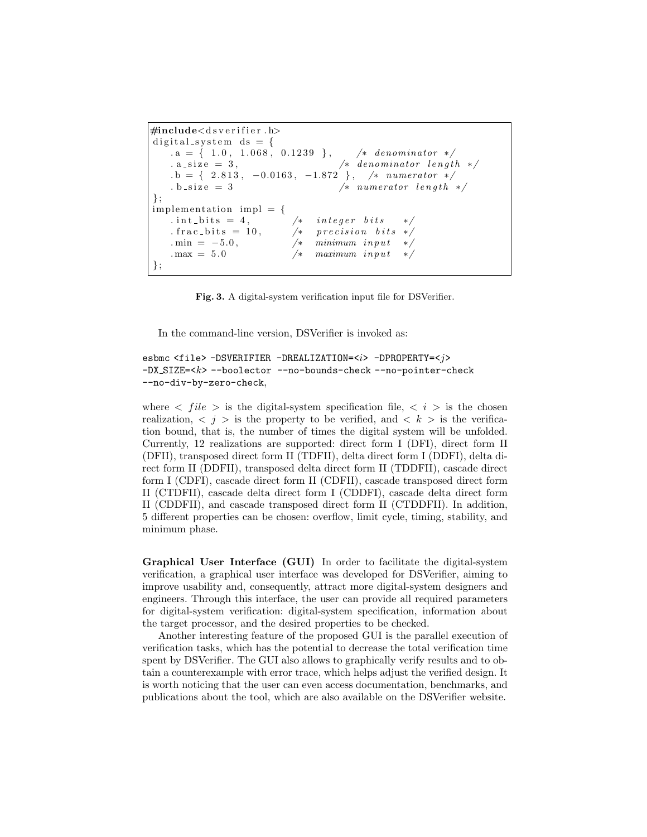```
\#include <d s v e r i f i e r . h>
digital_system ds = \{. a = { 1.0, 1.068, 0.1239 }, \frac{\sqrt{2}}{1} /* denominator */
   a\_size = 3, /* denominator length */. b = { 2.813, -0.0163, -1.872 }, /* numerator */
   b = size = 3 /* numerator length */
\} ;
implementation impl = {
   . int_bits = 4, /* integer bits
   . frac_bits = 10, \frac{1}{x} precision bits */
   . min = -5.0, /* minimum input */\max = 5.0 /* maximum \text{ input}} ;
```
<span id="page-4-0"></span>Fig. 3. A digital-system verification input file for DSVerifier.

In the command-line version, DSVerifier is invoked as:

```
esbmc <file> -DSVERIFIER -DREALIZATION=<i> -DPROPERTY=<j>
-DX_SIZE=<k> --boolector --no-bounds-check --no-pointer-check
--no-div-by-zero-check,
```
where  $\langle$  file  $\rangle$  is the digital-system specification file,  $\langle i \rangle$  is the chosen realization,  $\langle j \rangle$  is the property to be verified, and  $\langle k \rangle$  is the verification bound, that is, the number of times the digital system will be unfolded. Currently, 12 realizations are supported: direct form I (DFI), direct form II (DFII), transposed direct form II (TDFII), delta direct form I (DDFI), delta direct form II (DDFII), transposed delta direct form II (TDDFII), cascade direct form I (CDFI), cascade direct form II (CDFII), cascade transposed direct form II (CTDFII), cascade delta direct form I (CDDFI), cascade delta direct form II (CDDFII), and cascade transposed direct form II (CTDDFII). In addition, 5 different properties can be chosen: overflow, limit cycle, timing, stability, and minimum phase.

Graphical User Interface (GUI) In order to facilitate the digital-system verification, a graphical user interface was developed for DSVerifier, aiming to improve usability and, consequently, attract more digital-system designers and engineers. Through this interface, the user can provide all required parameters for digital-system verification: digital-system specification, information about the target processor, and the desired properties to be checked.

Another interesting feature of the proposed GUI is the parallel execution of verification tasks, which has the potential to decrease the total verification time spent by DSVerifier. The GUI also allows to graphically verify results and to obtain a counterexample with error trace, which helps adjust the verified design. It is worth noticing that the user can even access documentation, benchmarks, and publications about the tool, which are also available on the DSVerifier website.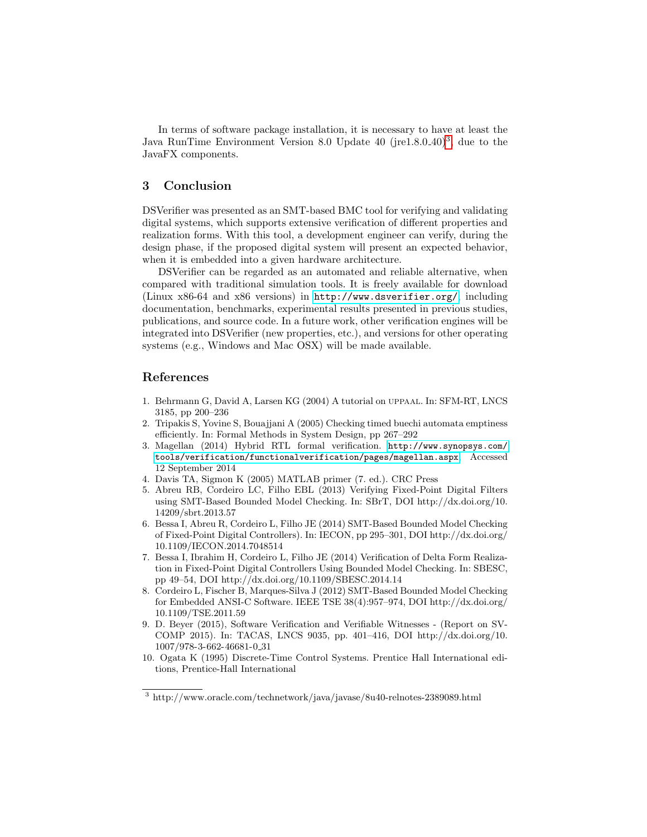In terms of software package installation, it is necessary to have at least the Java RunTime Environment Version 8.0 Update 40 (jre1.8.0\_40)<sup>[3](#page-5-10)</sup>, due to the JavaFX components.

## 3 Conclusion

DSVerifier was presented as an SMT-based BMC tool for verifying and validating digital systems, which supports extensive verification of different properties and realization forms. With this tool, a development engineer can verify, during the design phase, if the proposed digital system will present an expected behavior, when it is embedded into a given hardware architecture.

DSVerifier can be regarded as an automated and reliable alternative, when compared with traditional simulation tools. It is freely available for download (Linux x86-64 and x86 versions) in <http://www.dsverifier.org/>, including documentation, benchmarks, experimental results presented in previous studies, publications, and source code. In a future work, other verification engines will be integrated into DSVerifier (new properties, etc.), and versions for other operating systems (e.g., Windows and Mac OSX) will be made available.

### References

- <span id="page-5-0"></span>1. Behrmann G, David A, Larsen KG (2004) A tutorial on uppaal. In: SFM-RT, LNCS 3185, pp 200–236
- <span id="page-5-1"></span>2. Tripakis S, Yovine S, Bouajjani A (2005) Checking timed buechi automata emptiness efficiently. In: Formal Methods in System Design, pp 267–292
- <span id="page-5-2"></span>3. Magellan (2014) Hybrid RTL formal verification. [http://www.synopsys.com/](http://www.synopsys.com/tools/verification/functionalverification/pages/magellan.aspx) [tools/verification/functionalverification/pages/magellan.aspx](http://www.synopsys.com/tools/verification/functionalverification/pages/magellan.aspx), Accessed 12 September 2014
- <span id="page-5-3"></span>4. Davis TA, Sigmon K (2005) MATLAB primer (7. ed.). CRC Press
- <span id="page-5-4"></span>5. Abreu RB, Cordeiro LC, Filho EBL (2013) Verifying Fixed-Point Digital Filters using SMT-Based Bounded Model Checking. In: SBrT, DOI http://dx.doi.org/10. 14209/sbrt.2013.57
- <span id="page-5-5"></span>6. Bessa I, Abreu R, Cordeiro L, Filho JE (2014) SMT-Based Bounded Model Checking of Fixed-Point Digital Controllers). In: IECON, pp 295–301, DOI http://dx.doi.org/ 10.1109/IECON.2014.7048514
- <span id="page-5-6"></span>7. Bessa I, Ibrahim H, Cordeiro L, Filho JE (2014) Verification of Delta Form Realization in Fixed-Point Digital Controllers Using Bounded Model Checking. In: SBESC, pp 49–54, DOI http://dx.doi.org/10.1109/SBESC.2014.14
- <span id="page-5-7"></span>8. Cordeiro L, Fischer B, Marques-Silva J (2012) SMT-Based Bounded Model Checking for Embedded ANSI-C Software. IEEE TSE 38(4):957–974, DOI http://dx.doi.org/ 10.1109/TSE.2011.59
- <span id="page-5-8"></span>9. D. Beyer (2015), Software Verification and Verifiable Witnesses - (Report on SV-COMP 2015). In: TACAS, LNCS 9035, pp. 401–416, DOI http://dx.doi.org/10. 1007/978-3-662-46681-0 31
- <span id="page-5-9"></span>10. Ogata K (1995) Discrete-Time Control Systems. Prentice Hall International editions, Prentice-Hall International

<span id="page-5-10"></span> $^3$ http://www.oracle.com/technetwork/java/javase/8u40-relnotes-2389089.html